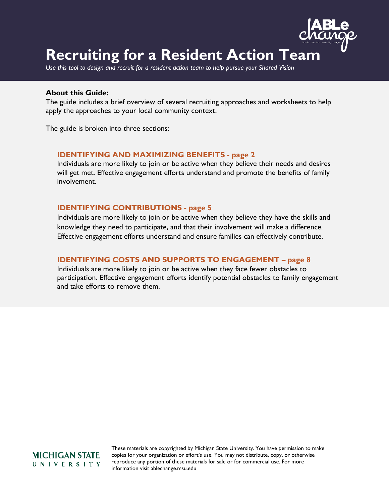

# **Recruiting for a Resident Action Team**

*Use this tool to design and recruit for a resident action team to help pursue your Shared Vision*

#### **About this Guide:**

The guide includes a brief overview of several recruiting approaches and worksheets to help apply the approaches to your local community context.

The guide is broken into three sections:

### **IDENTIFYING AND MAXIMIZING BENEFITS - page 2**

Individuals are more likely to join or be active when they believe their needs and desires will get met. Effective engagement efforts understand and promote the benefits of family involvement.

#### **IDENTIFYING CONTRIBUTIONS - page 5**

Individuals are more likely to join or be active when they believe they have the skills and knowledge they need to participate, and that their involvement will make a difference. Effective engagement efforts understand and ensure families can effectively contribute.

### **IDENTIFYING COSTS AND SUPPORTS TO ENGAGEMENT – page 8**

Individuals are more likely to join or be active when they face fewer obstacles to participation. Effective engagement efforts identify potential obstacles to family engagement and take efforts to remove them.

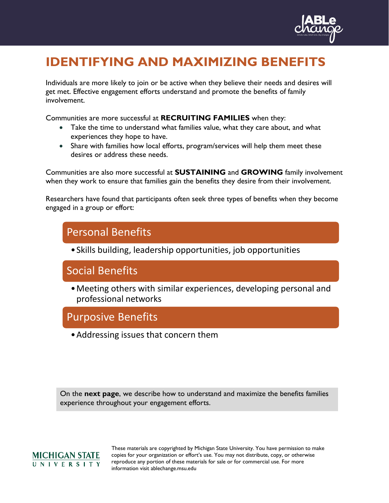

# **IDENTIFYING AND MAXIMIZING BENEFITS**

Individuals are more likely to join or be active when they believe their needs and desires will get met. Effective engagement efforts understand and promote the benefits of family involvement.

Communities are more successful at **RECRUITING FAMILIES** when they:

- Take the time to understand what families value, what they care about, and what experiences they hope to have.
- Share with families how local efforts, program/services will help them meet these desires or address these needs.

Communities are also more successful at **SUSTAINING** and **GROWING** family involvement when they work to ensure that families gain the benefits they desire from their involvement.

Researchers have found that participants often seek three types of benefits when they become engaged in a group or effort:

## Personal Benefits

•Skills building, leadership opportunities, job opportunities

## Social Benefits

•Meeting others with similar experiences, developing personal and professional networks

## Purposive Benefits

•Addressing issues that concern them

On the **next page**, we describe how to understand and maximize the benefits families experience throughout your engagement efforts.

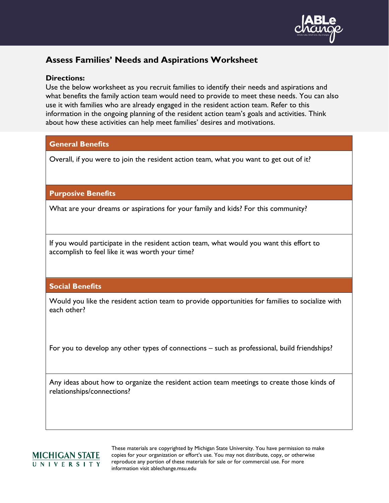

## **Assess Families' Needs and Aspirations Worksheet**

### **Directions:**

Use the below worksheet as you recruit families to identify their needs and aspirations and what benefits the family action team would need to provide to meet these needs. You can also use it with families who are already engaged in the resident action team. Refer to this information in the ongoing planning of the resident action team's goals and activities. Think about how these activities can help meet families' desires and motivations.

## **General Benefits**

Overall, if you were to join the resident action team, what you want to get out of it?

## **Purposive Benefits**

What are your dreams or aspirations for your family and kids? For this community?

If you would participate in the resident action team, what would you want this effort to accomplish to feel like it was worth your time?

## **Social Benefits**

Would you like the resident action team to provide opportunities for families to socialize with each other?

For you to develop any other types of connections – such as professional, build friendships?

Any ideas about how to organize the resident action team meetings to create those kinds of relationships/connections?

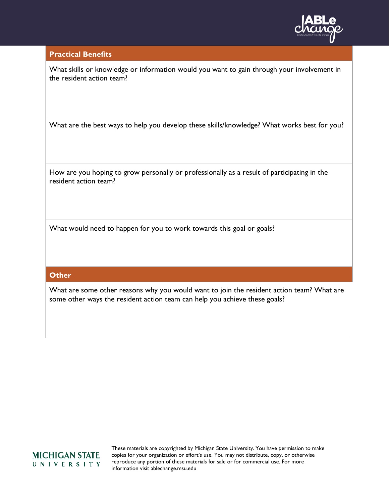

#### **Practical Benefits**

What skills or knowledge or information would you want to gain through your involvement in the resident action team?

What are the best ways to help you develop these skills/knowledge? What works best for you?

How are you hoping to grow personally or professionally as a result of participating in the resident action team?

What would need to happen for you to work towards this goal or goals?

### **Other**

What are some other reasons why you would want to join the resident action team? What are some other ways the resident action team can help you achieve these goals?

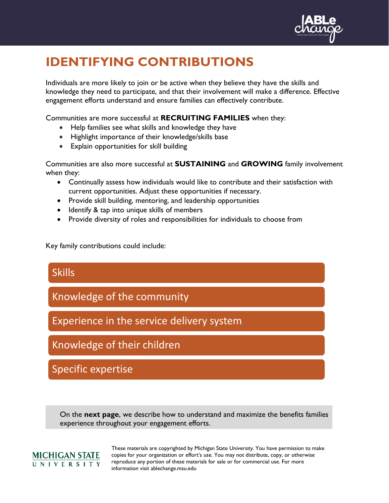

# **IDENTIFYING CONTRIBUTIONS**

Individuals are more likely to join or be active when they believe they have the skills and knowledge they need to participate, and that their involvement will make a difference. Effective engagement efforts understand and ensure families can effectively contribute.

Communities are more successful at **RECRUITING FAMILIES** when they:

- Help families see what skills and knowledge they have
- Highlight importance of their knowledge/skills base
- Explain opportunities for skill building

Communities are also more successful at **SUSTAINING** and **GROWING** family involvement when they:

- Continually assess how individuals would like to contribute and their satisfaction with current opportunities. Adjust these opportunities if necessary.
- Provide skill building, mentoring, and leadership opportunities
- Identify & tap into unique skills of members
- Provide diversity of roles and responsibilities for individuals to choose from

Key family contributions could include:

**Skills** Knowledge of the community Experience in the service delivery system Knowledge of their children Specific expertise

On the **next page**, we describe how to understand and maximize the benefits families experience throughout your engagement efforts.

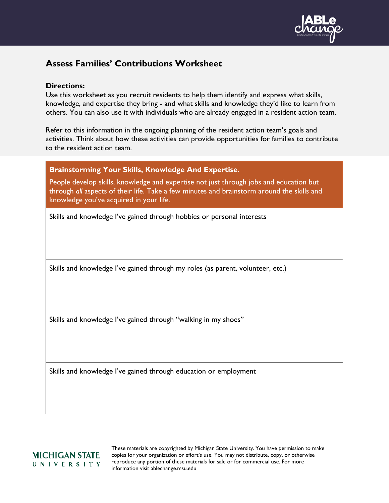

## **Assess Families' Contributions Worksheet**

#### **Directions:**

Use this worksheet as you recruit residents to help them identify and express what skills, knowledge, and expertise they bring - and what skills and knowledge they'd like to learn from others. You can also use it with individuals who are already engaged in a resident action team.

Refer to this information in the ongoing planning of the resident action team's goals and activities. Think about how these activities can provide opportunities for families to contribute to the resident action team.

### **Brainstorming Your Skills, Knowledge And Expertise**.

People develop skills, knowledge and expertise not just through jobs and education but through *all* aspects of their life. Take a few minutes and brainstorm around the skills and knowledge you've acquired in your life.

Skills and knowledge I've gained through hobbies or personal interests

Skills and knowledge I've gained through my roles (as parent, volunteer, etc.)

Skills and knowledge I've gained through "walking in my shoes"

Skills and knowledge I've gained through education or employment

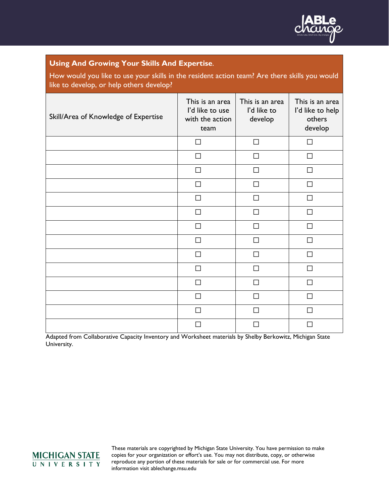

## **Using And Growing Your Skills And Expertise**.

How would you like to use your skills in the resident action team? Are there skills you would like to develop, or help others develop?

| Skill/Area of Knowledge of Expertise | This is an area<br>I'd like to use<br>with the action<br>team | This is an area<br>I'd like to<br>develop | This is an area<br>I'd like to help<br>others<br>develop |
|--------------------------------------|---------------------------------------------------------------|-------------------------------------------|----------------------------------------------------------|
|                                      | $\Box$                                                        | П                                         | П                                                        |
|                                      | П                                                             | ΙI                                        | $\mathcal{L}$                                            |
|                                      | П                                                             | П                                         | г                                                        |
|                                      | $\Box$                                                        | П                                         | П                                                        |
|                                      | П                                                             | П                                         | $\mathsf{L}$                                             |
|                                      | П                                                             | П                                         | г                                                        |
|                                      | П                                                             |                                           |                                                          |
|                                      | П                                                             | $\mathsf{L}$                              | L                                                        |
|                                      | П                                                             | П                                         | П                                                        |
|                                      | П                                                             | П                                         | L                                                        |
|                                      | П                                                             |                                           |                                                          |
|                                      | П                                                             |                                           |                                                          |
|                                      | П                                                             | $\mathsf{L}$                              | П                                                        |
|                                      | П                                                             |                                           |                                                          |

Adapted from Collaborative Capacity Inventory and Worksheet materials by Shelby Berkowitz, Michigan State University.

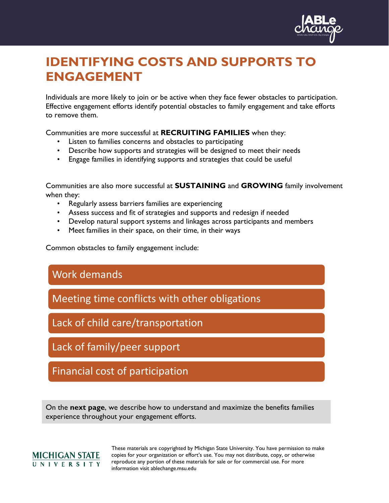

# **IDENTIFYING COSTS AND SUPPORTS TO ENGAGEMENT**

Individuals are more likely to join or be active when they face fewer obstacles to participation. Effective engagement efforts identify potential obstacles to family engagement and take efforts to remove them.

Communities are more successful at **RECRUITING FAMILIES** when they:

- Listen to families concerns and obstacles to participating
- Describe how supports and strategies will be designed to meet their needs
- Engage families in identifying supports and strategies that could be useful

Communities are also more successful at **SUSTAINING** and **GROWING** family involvement when they:

- Regularly assess barriers families are experiencing
- Assess success and fit of strategies and supports and redesign if needed
- Develop natural support systems and linkages across participants and members
- Meet families in their space, on their time, in their ways

Common obstacles to family engagement include:

## Work demands

Meeting time conflicts with other obligations

Lack of child care/transportation

Lack of family/peer support

Financial cost of participation

On the **next page**, we describe how to understand and maximize the benefits families experience throughout your engagement efforts.

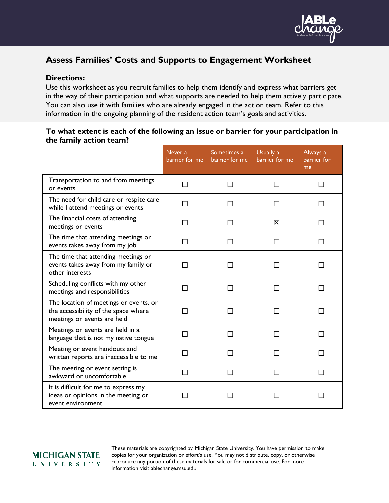

## **Assess Families' Costs and Supports to Engagement Worksheet**

## **Directions:**

Use this worksheet as you recruit families to help them identify and express what barriers get in the way of their participation and what supports are needed to help them actively participate. You can also use it with families who are already engaged in the action team. Refer to this information in the ongoing planning of the resident action team's goals and activities.

## **To what extent is each of the following an issue or barrier for your participation in the family action team?**

|                                                                                                               | Never a<br>barrier for me | Sometimes a<br>barrier for me | Usually a<br>barrier for me | Always a<br>barrier for<br>me |
|---------------------------------------------------------------------------------------------------------------|---------------------------|-------------------------------|-----------------------------|-------------------------------|
| Transportation to and from meetings<br>or events                                                              |                           | $\Box$                        |                             |                               |
| The need for child care or respite care<br>while I attend meetings or events                                  | ΙI                        | $\mathbf{I}$                  | $\mathsf{L}$                | ΙI                            |
| The financial costs of attending<br>meetings or events                                                        |                           |                               | 冈                           |                               |
| The time that attending meetings or<br>events takes away from my job                                          |                           | $\mathsf{L}$                  | ΙI                          | ΙI                            |
| The time that attending meetings or<br>events takes away from my family or<br>other interests                 |                           |                               |                             |                               |
| Scheduling conflicts with my other<br>meetings and responsibilities                                           |                           |                               |                             |                               |
| The location of meetings or events, or<br>the accessibility of the space where<br>meetings or events are held |                           |                               |                             |                               |
| Meetings or events are held in a<br>language that is not my native tongue                                     |                           | П                             | П                           |                               |
| Meeting or event handouts and<br>written reports are inaccessible to me                                       |                           |                               |                             |                               |
| The meeting or event setting is<br>awkward or uncomfortable                                                   | $\Box$                    | П                             | П                           | ΙI                            |
| It is difficult for me to express my<br>ideas or opinions in the meeting or<br>event environment              |                           |                               |                             |                               |

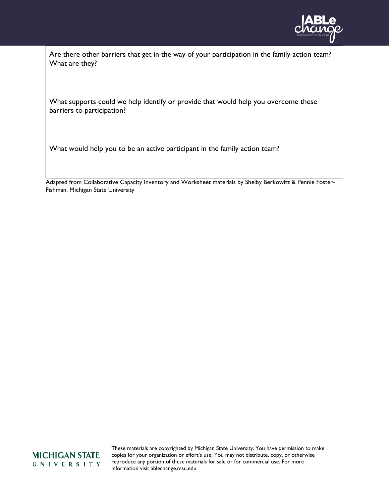

Are there other barriers that get in the way of your participation in the family action team? What are they?

What supports could we help identify or provide that would help you overcome these barriers to participation?

What would help you to be an active participant in the family action team?

Adapted from Collaborative Capacity Inventory and Worksheet materials by Shelby Berkowitz & Pennie Foster-Fishman, Michigan State University

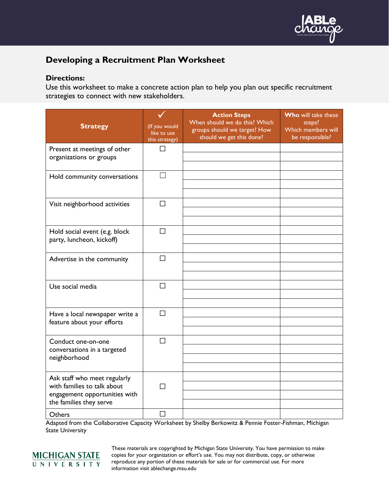

## **Developing a Recruitment Plan Worksheet**

### **Directions:**

Use this worksheet to make a concrete action plan to help you plan out specific recruitment strategies to connect with new stakeholders.

| <b>Strategy</b>                                                                                                         | (If you would<br>like to use<br>this strategy) | <b>Action Steps</b><br>When should we do this? Which<br>groups should we target? How<br>should we get this done? | Who will take these<br>steps?<br>Which members will<br>be responsible? |
|-------------------------------------------------------------------------------------------------------------------------|------------------------------------------------|------------------------------------------------------------------------------------------------------------------|------------------------------------------------------------------------|
| Present at meetings of other<br>organizations or groups                                                                 | П                                              |                                                                                                                  |                                                                        |
| Hold community conversations                                                                                            |                                                |                                                                                                                  |                                                                        |
| Visit neighborhood activities                                                                                           | $\Box$                                         |                                                                                                                  |                                                                        |
| Hold social event (e.g. block<br>party, luncheon, kickoff)                                                              | $\Box$                                         |                                                                                                                  |                                                                        |
| Advertise in the community                                                                                              | П                                              |                                                                                                                  |                                                                        |
| Use social media                                                                                                        | $\Box$                                         |                                                                                                                  |                                                                        |
| Have a local newspaper write a<br>feature about your efforts                                                            | П                                              |                                                                                                                  |                                                                        |
| Conduct one-on-one<br>conversations in a targeted<br>neighborhood                                                       | $\Box$                                         |                                                                                                                  |                                                                        |
| Ask staff who meet regularly<br>with families to talk about<br>engagement opportunities with<br>the families they serve | П                                              |                                                                                                                  |                                                                        |
| Others                                                                                                                  | П                                              |                                                                                                                  |                                                                        |

Adapted from the Collaborative Capacity Worksheet by Shelby Berkowitz & Pennie Foster-Fishman, Michigan State University

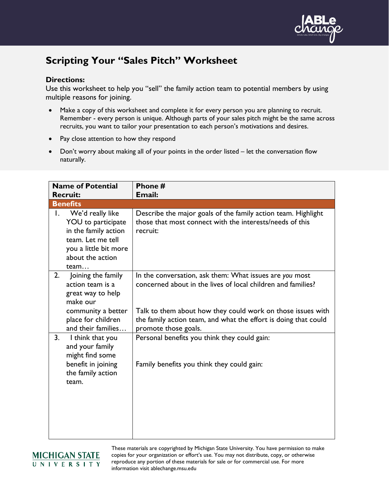

## **Scripting Your "Sales Pitch" Worksheet**

## **Directions:**

Use this worksheet to help you "sell" the family action team to potential members by using multiple reasons for joining.

- Make a copy of this worksheet and complete it for every person you are planning to recruit. Remember - every person is unique. Although parts of your sales pitch might be the same across recruits, you want to tailor your presentation to each person's motivations and desires.
- Pay close attention to how they respond
- Don't worry about making all of your points in the order listed let the conversation flow naturally.

|    | <b>Name of Potential</b><br><b>Recruit:</b>                                                                                               | Phone #<br><b>Email:</b>                                                                                                                                                                                                                                  |
|----|-------------------------------------------------------------------------------------------------------------------------------------------|-----------------------------------------------------------------------------------------------------------------------------------------------------------------------------------------------------------------------------------------------------------|
|    | <b>Benefits</b>                                                                                                                           |                                                                                                                                                                                                                                                           |
| Ι. | We'd really like<br>YOU to participate<br>in the family action<br>team. Let me tell<br>you a little bit more<br>about the action<br>team  | Describe the major goals of the family action team. Highlight<br>those that most connect with the interests/needs of this<br>recruit:                                                                                                                     |
| 2. | Joining the family<br>action team is a<br>great way to help<br>make our<br>community a better<br>place for children<br>and their families | In the conversation, ask them: What issues are you most<br>concerned about in the lives of local children and families?<br>Talk to them about how they could work on those issues with<br>the family action team, and what the effort is doing that could |
| 3. | I think that you<br>and your family<br>might find some<br>benefit in joining<br>the family action<br>team.                                | promote those goals.<br>Personal benefits you think they could gain:<br>Family benefits you think they could gain:                                                                                                                                        |